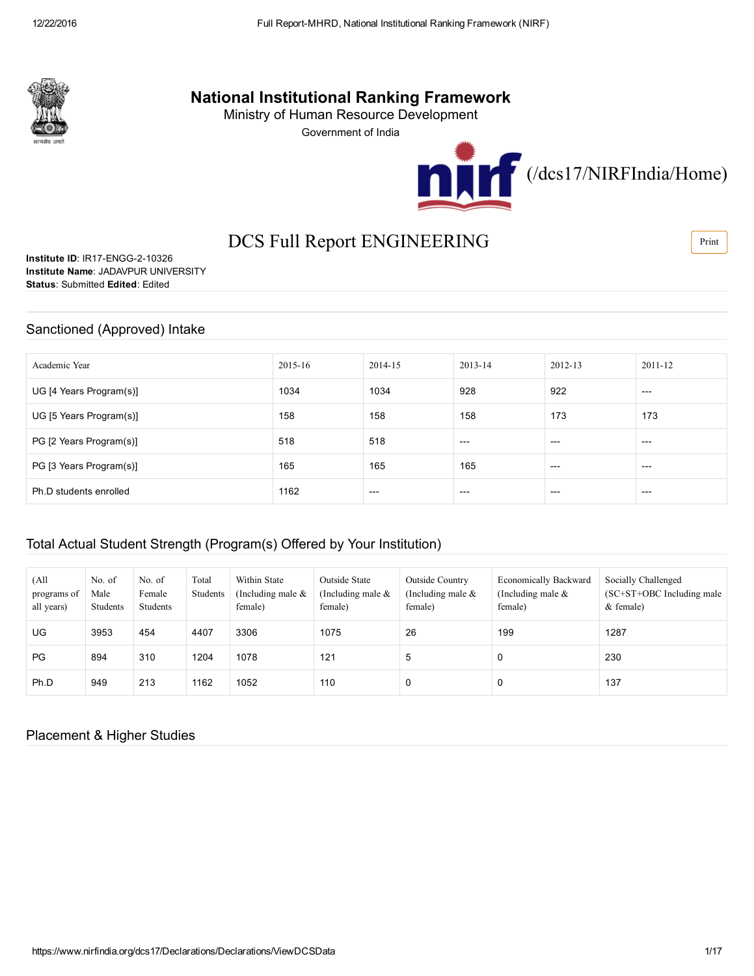

## National Institutional Ranking Framework

Ministry of Human Resource Development

Government of India



# DCS Full Report ENGINEERING

Institute ID: IR17-ENGG-2-10326 Institute Name: JADAVPUR UNIVERSITY Status: Submitted Edited: Edited

#### Sanctioned (Approved) Intake

| Academic Year           | $2015 - 16$ | 2014-15 | $2013 - 14$ | 2012-13 | 2011-12 |
|-------------------------|-------------|---------|-------------|---------|---------|
| UG [4 Years Program(s)] | 1034        | 1034    | 928         | 922     | $---$   |
| UG [5 Years Program(s)] | 158         | 158     | 158         | 173     | 173     |
| PG [2 Years Program(s)] | 518         | 518     | $---$       | $---$   | $---$   |
| PG [3 Years Program(s)] | 165         | 165     | 165         | $---$   | $---$   |
| Ph.D students enrolled  | 1162        | $---$   | $---$       | $---$   | $---$   |

#### Total Actual Student Strength (Program(s) Offered by Your Institution)

| (All<br>programs of<br>all years) | No. of<br>Male<br>Students | No. of<br>Female<br>Students | Total<br>Students | Within State<br>(Including male $\&$<br>female) | <b>Outside State</b><br>(Including male $\&$<br>female) | Outside Country<br>(Including male $\&$<br>female) | <b>Economically Backward</b><br>(Including male $\&$<br>female) | Socially Challenged<br>$SC+ST+OBC$ Including male<br>$&$ female) |
|-----------------------------------|----------------------------|------------------------------|-------------------|-------------------------------------------------|---------------------------------------------------------|----------------------------------------------------|-----------------------------------------------------------------|------------------------------------------------------------------|
| UG.                               | 3953                       | 454                          | 4407              | 3306                                            | 1075                                                    | 26                                                 | 199                                                             | 1287                                                             |
| PG                                | 894                        | 310                          | 1204              | 1078                                            | 121                                                     | 5                                                  | 0                                                               | 230                                                              |
| Ph.D                              | 949                        | 213                          | 1162              | 1052                                            | 110                                                     | 0                                                  | 0                                                               | 137                                                              |

#### Placement & Higher Studies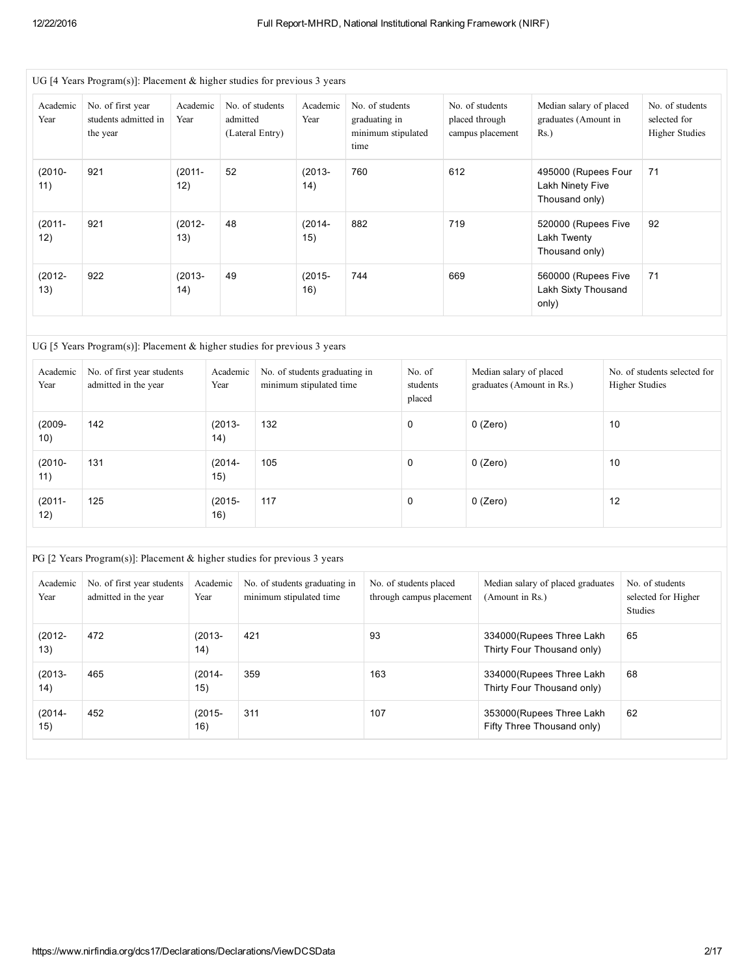| Academic<br>Year | No. of first year<br>students admitted in<br>the year | Academic<br>Year | No. of students<br>admitted<br>(Lateral Entry) | Academic<br>Year  | No. of students<br>graduating in<br>minimum stipulated<br>time | No. of students<br>placed through<br>campus placement | Median salary of placed<br>graduates (Amount in<br>$Rs.$ )       | No. of students<br>selected for<br><b>Higher Studies</b> |
|------------------|-------------------------------------------------------|------------------|------------------------------------------------|-------------------|----------------------------------------------------------------|-------------------------------------------------------|------------------------------------------------------------------|----------------------------------------------------------|
| $(2010 -$<br>11) | 921                                                   | $(2011 -$<br>12) | 52                                             | $(2013 -$<br>(14) | 760                                                            | 612                                                   | 495000 (Rupees Four<br><b>Lakh Ninety Five</b><br>Thousand only) | 71                                                       |
| $(2011 -$<br>12) | 921                                                   | $(2012 -$<br>13) | 48                                             | $(2014 -$<br>15)  | 882                                                            | 719                                                   | 520000 (Rupees Five<br>Lakh Twenty<br>Thousand only)             | 92                                                       |
| $(2012 -$<br>13) | 922                                                   | $(2013 -$<br>14) | 49                                             | $(2015 -$<br>16)  | 744                                                            | 669                                                   | 560000 (Rupees Five<br>Lakh Sixty Thousand<br>only)              | 71                                                       |

#### UG [5 Years Program(s)]: Placement & higher studies for previous 3 years

| Academic<br>Year | No. of first year students<br>admitted in the year | Academic<br>Year | No. of students graduating in<br>minimum stipulated time | No. of<br>students<br>placed | Median salary of placed<br>graduates (Amount in Rs.) | No. of students selected for<br><b>Higher Studies</b> |
|------------------|----------------------------------------------------|------------------|----------------------------------------------------------|------------------------------|------------------------------------------------------|-------------------------------------------------------|
| $(2009 -$<br>10) | 142                                                | $(2013 -$<br>14) | 132                                                      | 0                            | $0$ (Zero)                                           | 10                                                    |
| $(2010 -$<br>11) | 131                                                | $(2014 -$<br>15) | 105                                                      | 0                            | $0$ (Zero)                                           | 10                                                    |
| $(2011 -$<br>12) | 125                                                | $(2015 -$<br>16) | 117                                                      | 0                            | $0$ (Zero)                                           | 12                                                    |

#### PG [2 Years Program(s)]: Placement & higher studies for previous 3 years

| Academic<br>Year | No. of first year students<br>admitted in the year | Academic<br>Year | No. of students graduating in<br>minimum stipulated time | No. of students placed<br>through campus placement | Median salary of placed graduates<br>(Amount in Rs.)    | No. of students<br>selected for Higher<br>Studies |
|------------------|----------------------------------------------------|------------------|----------------------------------------------------------|----------------------------------------------------|---------------------------------------------------------|---------------------------------------------------|
| $(2012 -$<br>13) | 472                                                | $(2013 -$<br>14) | 421                                                      | 93                                                 | 334000 (Rupees Three Lakh<br>Thirty Four Thousand only) | 65                                                |
| $(2013 -$<br>14) | 465                                                | $(2014 -$<br>15) | 359                                                      | 163                                                | 334000 (Rupees Three Lakh<br>Thirty Four Thousand only) | 68                                                |
| $(2014 -$<br>15) | 452                                                | $(2015 -$<br>16) | 311                                                      | 107                                                | 353000 (Rupees Three Lakh<br>Fifty Three Thousand only) | 62                                                |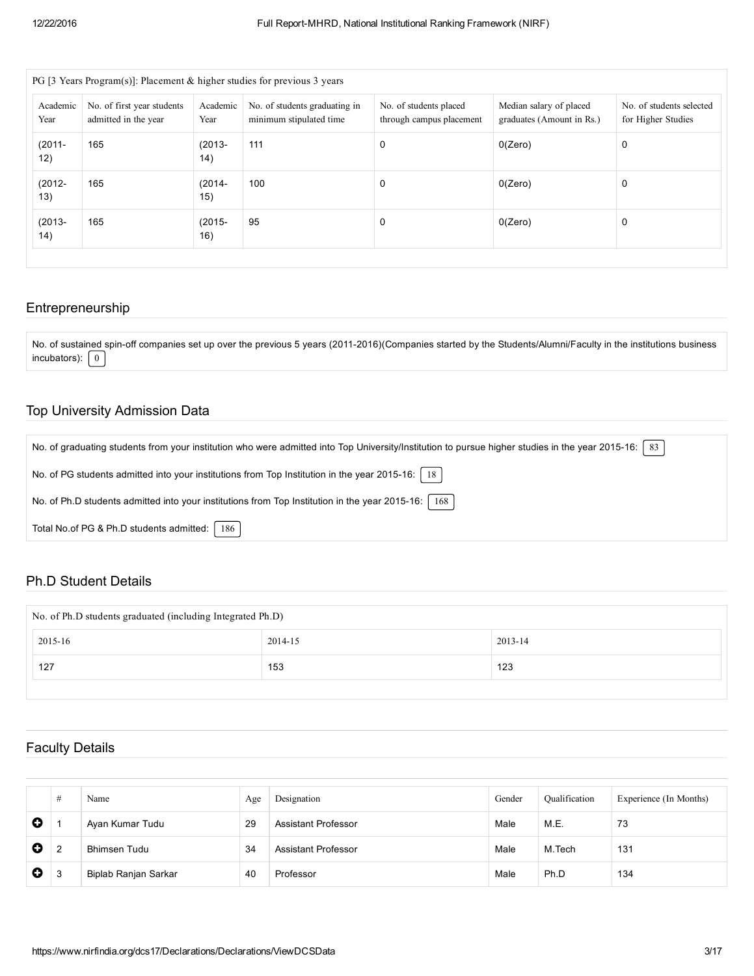| PG [3 Years Program(s)]: Placement & higher studies for previous 3 years                   |     |                  |                                                          |                                                    |                                                      |                                                |  |  |  |  |  |  |
|--------------------------------------------------------------------------------------------|-----|------------------|----------------------------------------------------------|----------------------------------------------------|------------------------------------------------------|------------------------------------------------|--|--|--|--|--|--|
| No. of first year students<br>Academic<br>Academic<br>admitted in the year<br>Year<br>Year |     |                  | No. of students graduating in<br>minimum stipulated time | No. of students placed<br>through campus placement | Median salary of placed<br>graduates (Amount in Rs.) | No. of students selected<br>for Higher Studies |  |  |  |  |  |  |
| $(2011 -$<br>12)                                                                           | 165 | $(2013 -$<br>14) | 111                                                      | 0                                                  | 0(Zero)                                              | 0                                              |  |  |  |  |  |  |
| $(2012 -$<br>13)                                                                           | 165 | $(2014 -$<br>15) | 100                                                      | 0                                                  | 0(Zero)                                              | 0                                              |  |  |  |  |  |  |
| $(2013 -$<br>14)                                                                           | 165 | $(2015 -$<br>16) | 95                                                       | 0                                                  | 0(Zero)                                              | 0                                              |  |  |  |  |  |  |

## Entrepreneurship

| No. of sustained spin-off companies set up over the previous 5 years (2011-2016)(Companies started by the Students/Alumni/Faculty in the institutions business |
|----------------------------------------------------------------------------------------------------------------------------------------------------------------|
| incubators): $\begin{bmatrix} 0 \end{bmatrix}$                                                                                                                 |

#### Top University Admission Data

| No. of graduating students from your institution who were admitted into Top University/Institution to pursue higher studies in the year 2015-16: 83 |
|-----------------------------------------------------------------------------------------------------------------------------------------------------|
| No. of PG students admitted into your institutions from Top Institution in the year 2015-16:   18                                                   |
| No. of Ph.D students admitted into your institutions from Top Institution in the year 2015-16:   168                                                |
| Total No.of PG & Ph.D students admitted:  <br>186 l                                                                                                 |

#### Ph.D Student Details

| No. of Ph.D students graduated (including Integrated Ph.D) |  |  |  |  |  |  |  |  |  |
|------------------------------------------------------------|--|--|--|--|--|--|--|--|--|
| 2015-16<br>2014-15<br>2013-14                              |  |  |  |  |  |  |  |  |  |
| 153<br>127<br>123                                          |  |  |  |  |  |  |  |  |  |
|                                                            |  |  |  |  |  |  |  |  |  |

#### Faculty Details

|           | # | Name                 | Age | Designation         | Gender | Oualification | Experience (In Months) |
|-----------|---|----------------------|-----|---------------------|--------|---------------|------------------------|
| 0         |   | Ayan Kumar Tudu      | 29  | Assistant Professor | Male   | M.E.          | 73                     |
| O         |   | Bhimsen Tudu         | 34  | Assistant Professor | Male   | M.Tech        | 131                    |
| $\bullet$ | 3 | Biplab Ranjan Sarkar | 40  | Professor           | Male   | Ph.D          | 134                    |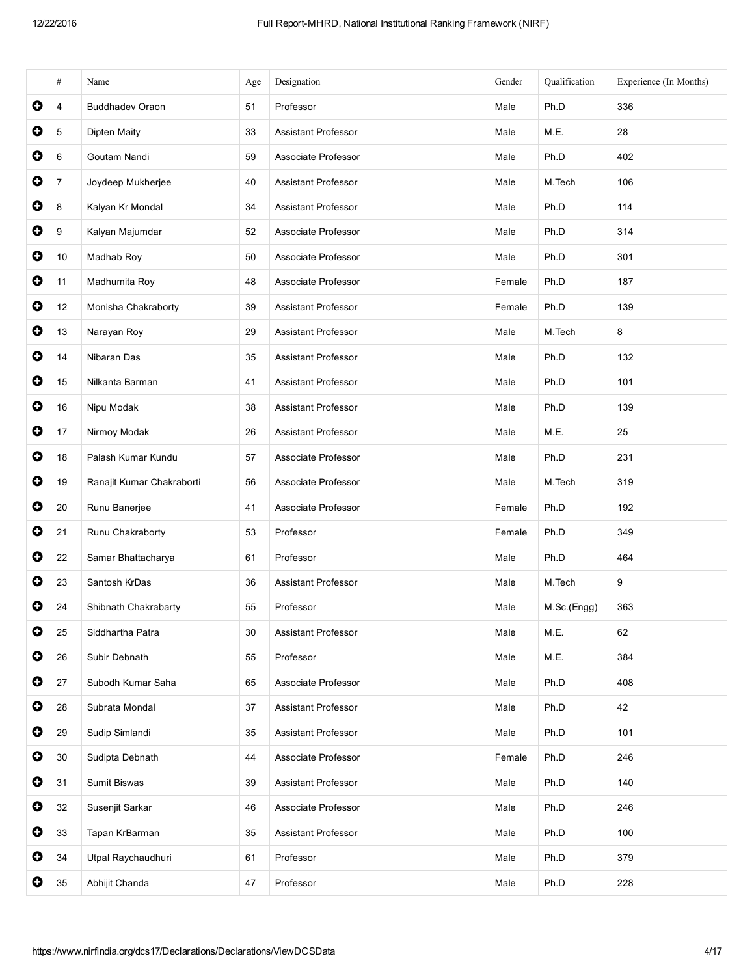|           | $\#$           | Name                      | Age | Designation                | Gender | Qualification | Experience (In Months) |
|-----------|----------------|---------------------------|-----|----------------------------|--------|---------------|------------------------|
| $\bullet$ | 4              | <b>Buddhadev Oraon</b>    | 51  | Professor                  | Male   | Ph.D          | 336                    |
| $\bullet$ | $\sqrt{5}$     | Dipten Maity              | 33  | Assistant Professor        | Male   | M.E.          | 28                     |
| $\bullet$ | 6              | Goutam Nandi              | 59  | Associate Professor        | Male   | Ph.D          | 402                    |
| $\bullet$ | $\overline{7}$ | Joydeep Mukherjee         | 40  | Assistant Professor        | Male   | M.Tech        | 106                    |
| $\bullet$ | 8              | Kalyan Kr Mondal          | 34  | <b>Assistant Professor</b> | Male   | Ph.D          | 114                    |
| $\bullet$ | 9              | Kalyan Majumdar           | 52  | Associate Professor        | Male   | Ph.D          | 314                    |
| $\bullet$ | 10             | Madhab Roy                | 50  | Associate Professor        | Male   | Ph.D          | 301                    |
| $\bullet$ | 11             | Madhumita Roy             | 48  | Associate Professor        | Female | Ph.D          | 187                    |
| $\bullet$ | 12             | Monisha Chakraborty       | 39  | Assistant Professor        | Female | Ph.D          | 139                    |
| $\bullet$ | 13             | Narayan Roy               | 29  | Assistant Professor        | Male   | M.Tech        | 8                      |
| $\bullet$ | 14             | Nibaran Das               | 35  | Assistant Professor        | Male   | Ph.D          | 132                    |
| $\bullet$ | 15             | Nilkanta Barman           | 41  | Assistant Professor        | Male   | Ph.D          | 101                    |
| $\bullet$ | 16             | Nipu Modak                | 38  | Assistant Professor        | Male   | Ph.D          | 139                    |
| $\bullet$ | 17             | Nirmoy Modak              | 26  | Assistant Professor        | Male   | M.E.          | 25                     |
| $\bullet$ | 18             | Palash Kumar Kundu        | 57  | Associate Professor        | Male   | Ph.D          | 231                    |
| $\bullet$ | 19             | Ranajit Kumar Chakraborti | 56  | Associate Professor        | Male   | M.Tech        | 319                    |
| $\bullet$ | 20             | Runu Banerjee             | 41  | Associate Professor        | Female | Ph.D          | 192                    |
| $\bullet$ | 21             | Runu Chakraborty          | 53  | Professor                  | Female | Ph.D          | 349                    |
| $\bullet$ | 22             | Samar Bhattacharya        | 61  | Professor                  | Male   | Ph.D          | 464                    |
| $\bullet$ | 23             | Santosh KrDas             | 36  | <b>Assistant Professor</b> | Male   | M.Tech        | 9                      |
| $\bullet$ | 24             | Shibnath Chakrabarty      | 55  | Professor                  | Male   | M.Sc.(Engg)   | 363                    |
| $\bullet$ | 25             | Siddhartha Patra          | 30  | Assistant Professor        | Male   | M.E.          | 62                     |
| $\bullet$ | 26             | Subir Debnath             | 55  | Professor                  | Male   | M.E.          | 384                    |
| $\bullet$ | 27             | Subodh Kumar Saha         | 65  | Associate Professor        | Male   | Ph.D          | 408                    |
| $\bullet$ | 28             | Subrata Mondal            | 37  | Assistant Professor        | Male   | Ph.D          | 42                     |
| $\bullet$ | 29             | Sudip Simlandi            | 35  | Assistant Professor        | Male   | Ph.D          | 101                    |
| $\bullet$ | 30             | Sudipta Debnath           | 44  | Associate Professor        | Female | Ph.D          | 246                    |
| $\bullet$ | 31             | Sumit Biswas              | 39  | Assistant Professor        | Male   | Ph.D          | 140                    |
| $\bullet$ | 32             | Susenjit Sarkar           | 46  | Associate Professor        | Male   | Ph.D          | 246                    |
| $\bullet$ | 33             | Tapan KrBarman            | 35  | Assistant Professor        | Male   | Ph.D          | 100                    |
| $\bullet$ | 34             | Utpal Raychaudhuri        | 61  | Professor                  | Male   | Ph.D          | 379                    |
| $\bullet$ | 35             | Abhijit Chanda            | 47  | Professor                  | Male   | Ph.D          | 228                    |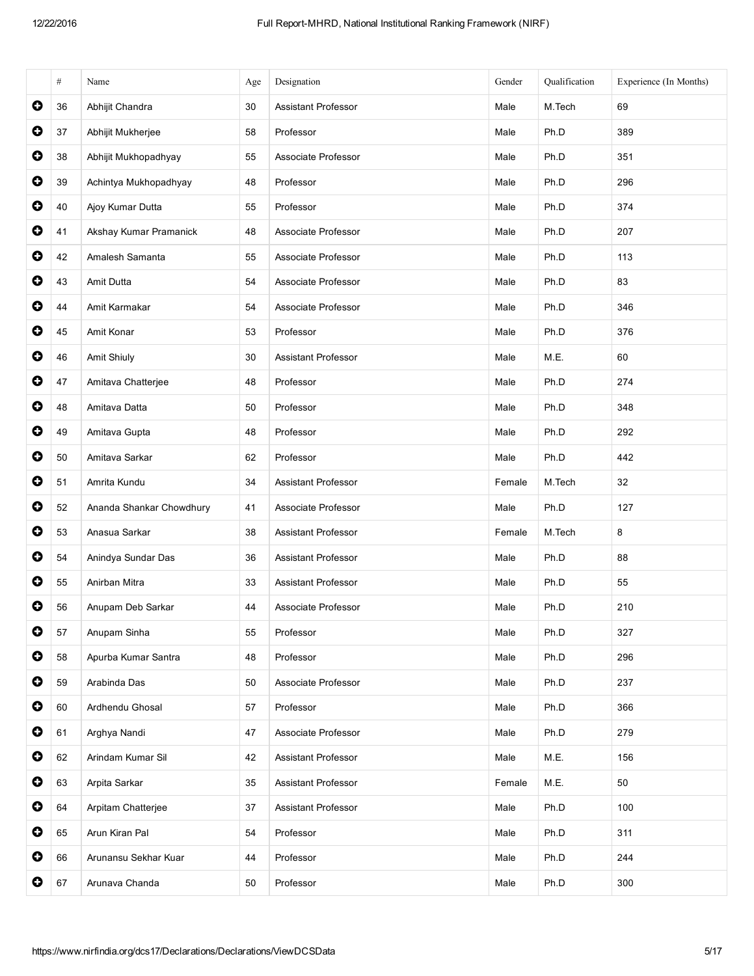|           | $\#$ | Name                     | Age | Designation                | Gender | Qualification | Experience (In Months) |
|-----------|------|--------------------------|-----|----------------------------|--------|---------------|------------------------|
| $\bullet$ | 36   | Abhijit Chandra          | 30  | <b>Assistant Professor</b> | Male   | M.Tech        | 69                     |
| $\bullet$ | 37   | Abhijit Mukherjee        | 58  | Professor                  | Male   | Ph.D          | 389                    |
| $\bullet$ | 38   | Abhijit Mukhopadhyay     | 55  | Associate Professor        | Male   | Ph.D          | 351                    |
| $\bullet$ | 39   | Achintya Mukhopadhyay    | 48  | Professor                  | Male   | Ph.D          | 296                    |
| $\bullet$ | 40   | Ajoy Kumar Dutta         | 55  | Professor                  | Male   | Ph.D          | 374                    |
| $\bullet$ | 41   | Akshay Kumar Pramanick   | 48  | Associate Professor        | Male   | Ph.D          | 207                    |
| $\bullet$ | 42   | Amalesh Samanta          | 55  | Associate Professor        | Male   | Ph.D          | 113                    |
| $\bullet$ | 43   | Amit Dutta               | 54  | Associate Professor        | Male   | Ph.D          | 83                     |
| $\bullet$ | 44   | Amit Karmakar            | 54  | Associate Professor        | Male   | Ph.D          | 346                    |
| $\bullet$ | 45   | Amit Konar               | 53  | Professor                  | Male   | Ph.D          | 376                    |
| $\bullet$ | 46   | Amit Shiuly              | 30  | <b>Assistant Professor</b> | Male   | M.E.          | 60                     |
| $\bullet$ | 47   | Amitava Chatterjee       | 48  | Professor                  | Male   | Ph.D          | 274                    |
| $\bullet$ | 48   | Amitava Datta            | 50  | Professor                  | Male   | Ph.D          | 348                    |
| $\bullet$ | 49   | Amitava Gupta            | 48  | Professor                  | Male   | Ph.D          | 292                    |
| $\bullet$ | 50   | Amitava Sarkar           | 62  | Professor                  | Male   | Ph.D          | 442                    |
| $\bullet$ | 51   | Amrita Kundu             | 34  | <b>Assistant Professor</b> | Female | M.Tech        | 32                     |
| $\bullet$ | 52   | Ananda Shankar Chowdhury | 41  | Associate Professor        | Male   | Ph.D          | 127                    |
| $\bullet$ | 53   | Anasua Sarkar            | 38  | <b>Assistant Professor</b> | Female | M.Tech        | 8                      |
| $\bullet$ | 54   | Anindya Sundar Das       | 36  | Assistant Professor        | Male   | Ph.D          | 88                     |
| $\bullet$ | 55   | Anirban Mitra            | 33  | <b>Assistant Professor</b> | Male   | Ph.D          | 55                     |
| $\bullet$ | 56   | Anupam Deb Sarkar        | 44  | Associate Professor        | Male   | Ph.D          | 210                    |
| $\bullet$ | 57   | Anupam Sinha             | 55  | Professor                  | Male   | Ph.D          | 327                    |
| $\bullet$ | 58   | Apurba Kumar Santra      | 48  | Professor                  | Male   | Ph.D          | 296                    |
| $\bullet$ | 59   | Arabinda Das             | 50  | Associate Professor        | Male   | Ph.D          | 237                    |
| $\bullet$ | 60   | Ardhendu Ghosal          | 57  | Professor                  | Male   | Ph.D          | 366                    |
| $\bullet$ | 61   | Arghya Nandi             | 47  | Associate Professor        | Male   | Ph.D          | 279                    |
| 0         | 62   | Arindam Kumar Sil        | 42  | Assistant Professor        | Male   | M.E.          | 156                    |
| $\bullet$ | 63   | Arpita Sarkar            | 35  | Assistant Professor        | Female | M.E.          | 50                     |
| $\bullet$ | 64   | Arpitam Chatterjee       | 37  | Assistant Professor        | Male   | Ph.D          | 100                    |
| $\bullet$ | 65   | Arun Kiran Pal           | 54  | Professor                  | Male   | Ph.D          | 311                    |
| $\bullet$ | 66   | Arunansu Sekhar Kuar     | 44  | Professor                  | Male   | Ph.D          | 244                    |
| $\bullet$ | 67   | Arunava Chanda           | 50  | Professor                  | Male   | Ph.D          | 300                    |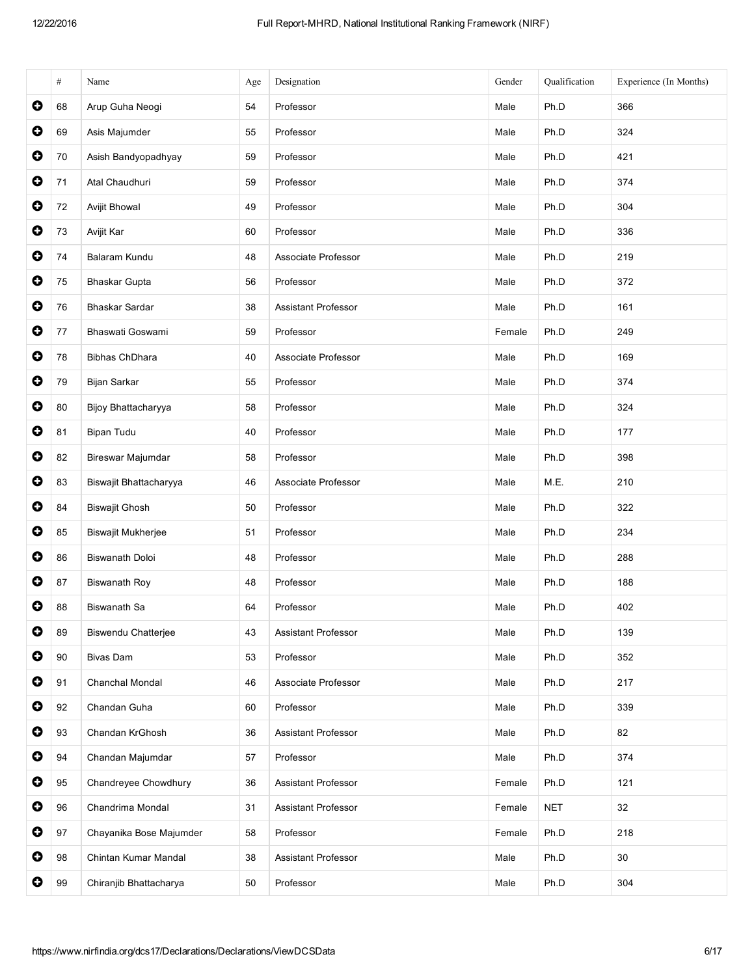|           | #  | Name                      | Age | Designation         | Gender | Qualification | Experience (In Months) |
|-----------|----|---------------------------|-----|---------------------|--------|---------------|------------------------|
| $\bullet$ | 68 | Arup Guha Neogi           | 54  | Professor           | Male   | Ph.D          | 366                    |
| $\bullet$ | 69 | Asis Majumder             | 55  | Professor           | Male   | Ph.D          | 324                    |
| $\bullet$ | 70 | Asish Bandyopadhyay       | 59  | Professor           | Male   | Ph.D          | 421                    |
| $\bullet$ | 71 | Atal Chaudhuri            | 59  | Professor           | Male   | Ph.D          | 374                    |
| $\bullet$ | 72 | Avijit Bhowal             | 49  | Professor           | Male   | Ph.D          | 304                    |
| $\bullet$ | 73 | Avijit Kar                | 60  | Professor           | Male   | Ph.D          | 336                    |
| $\bullet$ | 74 | Balaram Kundu             | 48  | Associate Professor | Male   | Ph.D          | 219                    |
| $\bullet$ | 75 | Bhaskar Gupta             | 56  | Professor           | Male   | Ph.D          | 372                    |
| $\bullet$ | 76 | Bhaskar Sardar            | 38  | Assistant Professor | Male   | Ph.D          | 161                    |
| $\bullet$ | 77 | Bhaswati Goswami          | 59  | Professor           | Female | Ph.D          | 249                    |
| $\bullet$ | 78 | <b>Bibhas ChDhara</b>     | 40  | Associate Professor | Male   | Ph.D          | 169                    |
| $\bullet$ | 79 | Bijan Sarkar              | 55  | Professor           | Male   | Ph.D          | 374                    |
| $\bullet$ | 80 | Bijoy Bhattacharyya       | 58  | Professor           | Male   | Ph.D          | 324                    |
| $\bullet$ | 81 | <b>Bipan Tudu</b>         | 40  | Professor           | Male   | Ph.D          | 177                    |
| $\bullet$ | 82 | Bireswar Majumdar         | 58  | Professor           | Male   | Ph.D          | 398                    |
| $\bullet$ | 83 | Biswajit Bhattacharyya    | 46  | Associate Professor | Male   | M.E.          | 210                    |
| $\bullet$ | 84 | <b>Biswajit Ghosh</b>     | 50  | Professor           | Male   | Ph.D          | 322                    |
| $\bullet$ | 85 | <b>Biswajit Mukherjee</b> | 51  | Professor           | Male   | Ph.D          | 234                    |
| $\bullet$ | 86 | Biswanath Doloi           | 48  | Professor           | Male   | Ph.D          | 288                    |
| $\bullet$ | 87 | <b>Biswanath Roy</b>      | 48  | Professor           | Male   | Ph.D          | 188                    |
| $\bullet$ | 88 | Biswanath Sa              | 64  | Professor           | Male   | Ph.D          | 402                    |
| $\bullet$ | 89 | Biswendu Chatterjee       | 43  | Assistant Professor | Male   | Ph.D          | 139                    |
| $\bullet$ | 90 | Bivas Dam                 | 53  | Professor           | Male   | Ph.D          | 352                    |
| $\bullet$ | 91 | Chanchal Mondal           | 46  | Associate Professor | Male   | Ph.D          | 217                    |
| $\bullet$ | 92 | Chandan Guha              | 60  | Professor           | Male   | Ph.D          | 339                    |
| $\bullet$ | 93 | Chandan KrGhosh           | 36  | Assistant Professor | Male   | Ph.D          | 82                     |
| $\bullet$ | 94 | Chandan Majumdar          | 57  | Professor           | Male   | Ph.D          | 374                    |
| $\bullet$ | 95 | Chandreyee Chowdhury      | 36  | Assistant Professor | Female | Ph.D          | 121                    |
| $\bullet$ | 96 | Chandrima Mondal          | 31  | Assistant Professor | Female | <b>NET</b>    | 32                     |
| $\bullet$ | 97 | Chayanika Bose Majumder   | 58  | Professor           | Female | Ph.D          | 218                    |
| $\bullet$ | 98 | Chintan Kumar Mandal      | 38  | Assistant Professor | Male   | Ph.D          | 30                     |
| $\bullet$ | 99 | Chiranjib Bhattacharya    | 50  | Professor           | Male   | Ph.D          | 304                    |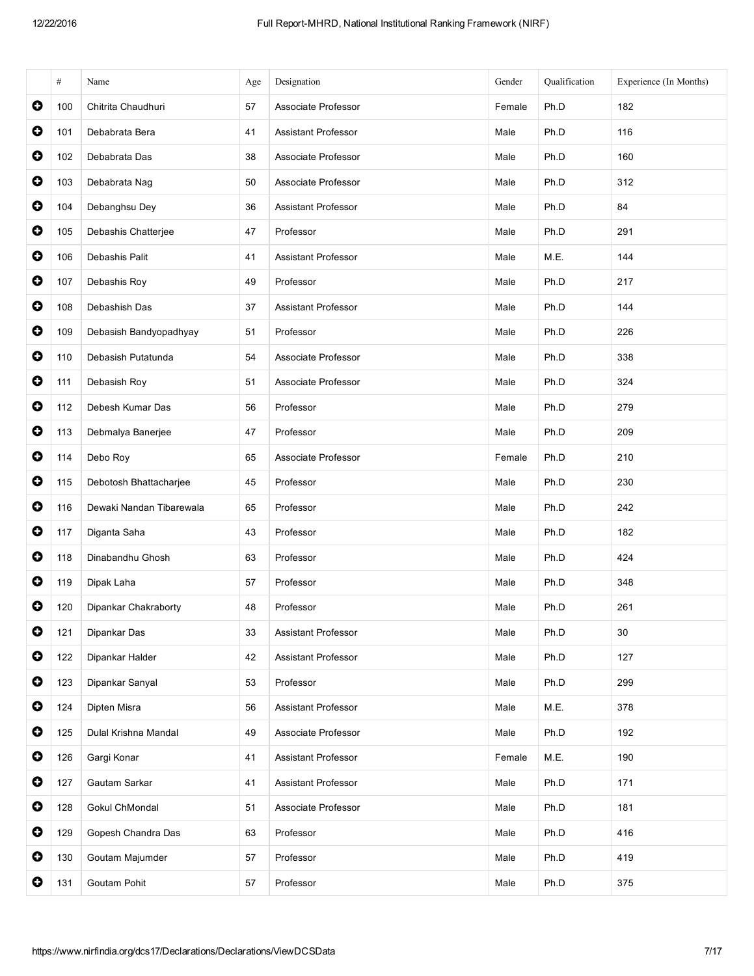|           | #   | Name                     | Age | Designation         | Gender | Qualification | Experience (In Months) |
|-----------|-----|--------------------------|-----|---------------------|--------|---------------|------------------------|
| $\bullet$ | 100 | Chitrita Chaudhuri       | 57  | Associate Professor | Female | Ph.D          | 182                    |
| $\bullet$ | 101 | Debabrata Bera           | 41  | Assistant Professor | Male   | Ph.D          | 116                    |
| $\bullet$ | 102 | Debabrata Das            | 38  | Associate Professor | Male   | Ph.D          | 160                    |
| $\bullet$ | 103 | Debabrata Nag            | 50  | Associate Professor | Male   | Ph.D          | 312                    |
| $\bullet$ | 104 | Debanghsu Dey            | 36  | Assistant Professor | Male   | Ph.D          | 84                     |
| $\bullet$ | 105 | Debashis Chatterjee      | 47  | Professor           | Male   | Ph.D          | 291                    |
| $\bullet$ | 106 | Debashis Palit           | 41  | Assistant Professor | Male   | M.E.          | 144                    |
| $\bullet$ | 107 | Debashis Roy             | 49  | Professor           | Male   | Ph.D          | 217                    |
| $\bullet$ | 108 | Debashish Das            | 37  | Assistant Professor | Male   | Ph.D          | 144                    |
| $\bullet$ | 109 | Debasish Bandyopadhyay   | 51  | Professor           | Male   | Ph.D          | 226                    |
| $\bullet$ | 110 | Debasish Putatunda       | 54  | Associate Professor | Male   | Ph.D          | 338                    |
| $\bullet$ | 111 | Debasish Roy             | 51  | Associate Professor | Male   | Ph.D          | 324                    |
| $\bullet$ | 112 | Debesh Kumar Das         | 56  | Professor           | Male   | Ph.D          | 279                    |
| $\bullet$ | 113 | Debmalya Banerjee        | 47  | Professor           | Male   | Ph.D          | 209                    |
| $\bullet$ | 114 | Debo Roy                 | 65  | Associate Professor | Female | Ph.D          | 210                    |
| $\bullet$ | 115 | Debotosh Bhattacharjee   | 45  | Professor           | Male   | Ph.D          | 230                    |
| $\bullet$ | 116 | Dewaki Nandan Tibarewala | 65  | Professor           | Male   | Ph.D          | 242                    |
| $\bullet$ | 117 | Diganta Saha             | 43  | Professor           | Male   | Ph.D          | 182                    |
| $\bullet$ | 118 | Dinabandhu Ghosh         | 63  | Professor           | Male   | Ph.D          | 424                    |
| $\bullet$ | 119 | Dipak Laha               | 57  | Professor           | Male   | Ph.D          | 348                    |
| $\bullet$ | 120 | Dipankar Chakraborty     | 48  | Professor           | Male   | Ph.D          | 261                    |
| $\bullet$ | 121 | Dipankar Das             | 33  | Assistant Professor | Male   | Ph.D          | 30                     |
| $\bullet$ | 122 | Dipankar Halder          | 42  | Assistant Professor | Male   | Ph.D          | 127                    |
| $\bullet$ | 123 | Dipankar Sanyal          | 53  | Professor           | Male   | Ph.D          | 299                    |
| $\bullet$ | 124 | Dipten Misra             | 56  | Assistant Professor | Male   | M.E.          | 378                    |
| $\bullet$ | 125 | Dulal Krishna Mandal     | 49  | Associate Professor | Male   | Ph.D          | 192                    |
| $\bullet$ | 126 | Gargi Konar              | 41  | Assistant Professor | Female | M.E.          | 190                    |
| $\bullet$ | 127 | Gautam Sarkar            | 41  | Assistant Professor | Male   | Ph.D          | 171                    |
| $\bullet$ | 128 | Gokul ChMondal           | 51  | Associate Professor | Male   | Ph.D          | 181                    |
| $\bullet$ | 129 | Gopesh Chandra Das       | 63  | Professor           | Male   | Ph.D          | 416                    |
| $\bullet$ | 130 | Goutam Majumder          | 57  | Professor           | Male   | Ph.D          | 419                    |
| $\bullet$ | 131 | Goutam Pohit             | 57  | Professor           | Male   | Ph.D          | 375                    |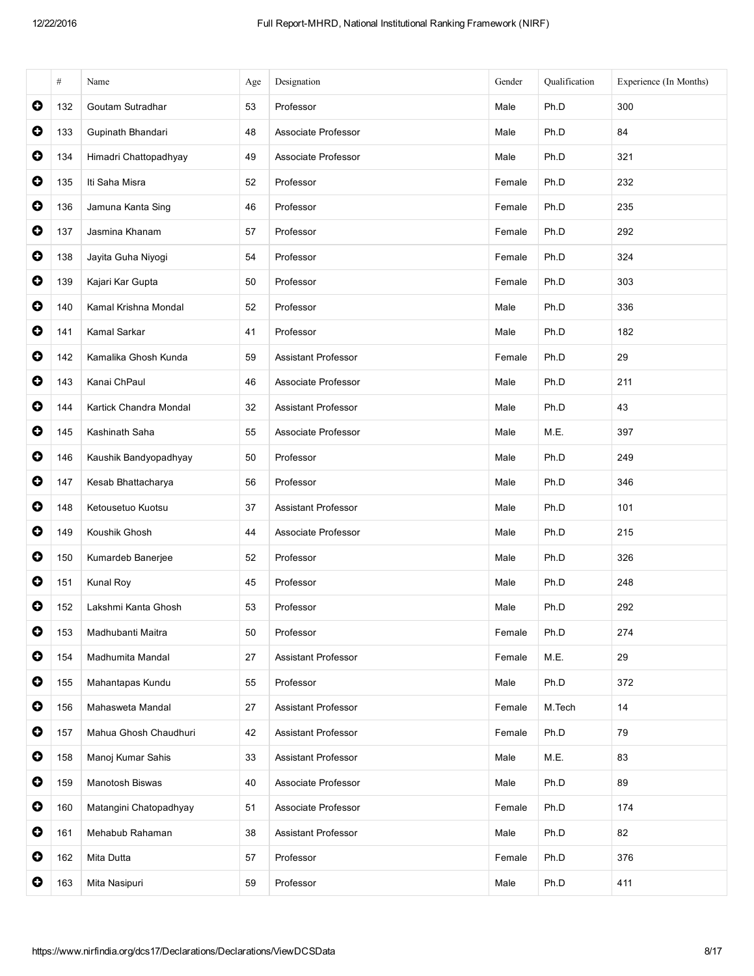|           | $\#$ | Name                   | Age | Designation         | Gender | Qualification | Experience (In Months) |
|-----------|------|------------------------|-----|---------------------|--------|---------------|------------------------|
| $\bullet$ | 132  | Goutam Sutradhar       | 53  | Professor           | Male   | Ph.D          | 300                    |
| $\bullet$ | 133  | Gupinath Bhandari      | 48  | Associate Professor | Male   | Ph.D          | 84                     |
| $\bullet$ | 134  | Himadri Chattopadhyay  | 49  | Associate Professor | Male   | Ph.D          | 321                    |
| $\bullet$ | 135  | Iti Saha Misra         | 52  | Professor           | Female | Ph.D          | 232                    |
| $\bullet$ | 136  | Jamuna Kanta Sing      | 46  | Professor           | Female | Ph.D          | 235                    |
| $\bullet$ | 137  | Jasmina Khanam         | 57  | Professor           | Female | Ph.D          | 292                    |
| $\bullet$ | 138  | Jayita Guha Niyogi     | 54  | Professor           | Female | Ph.D          | 324                    |
| $\bullet$ | 139  | Kajari Kar Gupta       | 50  | Professor           | Female | Ph.D          | 303                    |
| $\bullet$ | 140  | Kamal Krishna Mondal   | 52  | Professor           | Male   | Ph.D          | 336                    |
| $\bullet$ | 141  | Kamal Sarkar           | 41  | Professor           | Male   | Ph.D          | 182                    |
| $\bullet$ | 142  | Kamalika Ghosh Kunda   | 59  | Assistant Professor | Female | Ph.D          | 29                     |
| $\bullet$ | 143  | Kanai ChPaul           | 46  | Associate Professor | Male   | Ph.D          | 211                    |
| $\bullet$ | 144  | Kartick Chandra Mondal | 32  | Assistant Professor | Male   | Ph.D          | 43                     |
| $\bullet$ | 145  | Kashinath Saha         | 55  | Associate Professor | Male   | M.E.          | 397                    |
| $\bullet$ | 146  | Kaushik Bandyopadhyay  | 50  | Professor           | Male   | Ph.D          | 249                    |
| $\bullet$ | 147  | Kesab Bhattacharya     | 56  | Professor           | Male   | Ph.D          | 346                    |
| $\bullet$ | 148  | Ketousetuo Kuotsu      | 37  | Assistant Professor | Male   | Ph.D          | 101                    |
| $\bullet$ | 149  | Koushik Ghosh          | 44  | Associate Professor | Male   | Ph.D          | 215                    |
| $\bullet$ | 150  | Kumardeb Banerjee      | 52  | Professor           | Male   | Ph.D          | 326                    |
| $\bullet$ | 151  | Kunal Roy              | 45  | Professor           | Male   | Ph.D          | 248                    |
| O         | 152  | Lakshmi Kanta Ghosh    | 53  | Professor           | Male   | Ph.D          | 292                    |
| $\bullet$ | 153  | Madhubanti Maitra      | 50  | Professor           | Female | Ph.D          | 274                    |
| $\bullet$ | 154  | Madhumita Mandal       | 27  | Assistant Professor | Female | M.E.          | 29                     |
| $\bullet$ | 155  | Mahantapas Kundu       | 55  | Professor           | Male   | Ph.D          | 372                    |
| $\bullet$ | 156  | Mahasweta Mandal       | 27  | Assistant Professor | Female | M.Tech        | 14                     |
| $\bullet$ | 157  | Mahua Ghosh Chaudhuri  | 42  | Assistant Professor | Female | Ph.D          | 79                     |
| $\bullet$ | 158  | Manoj Kumar Sahis      | 33  | Assistant Professor | Male   | M.E.          | 83                     |
| $\bullet$ | 159  | Manotosh Biswas        | 40  | Associate Professor | Male   | Ph.D          | 89                     |
| $\bullet$ | 160  | Matangini Chatopadhyay | 51  | Associate Professor | Female | Ph.D          | 174                    |
| $\bullet$ | 161  | Mehabub Rahaman        | 38  | Assistant Professor | Male   | Ph.D          | 82                     |
| $\bullet$ | 162  | Mita Dutta             | 57  | Professor           | Female | Ph.D          | 376                    |
| $\bullet$ | 163  | Mita Nasipuri          | 59  | Professor           | Male   | Ph.D          | 411                    |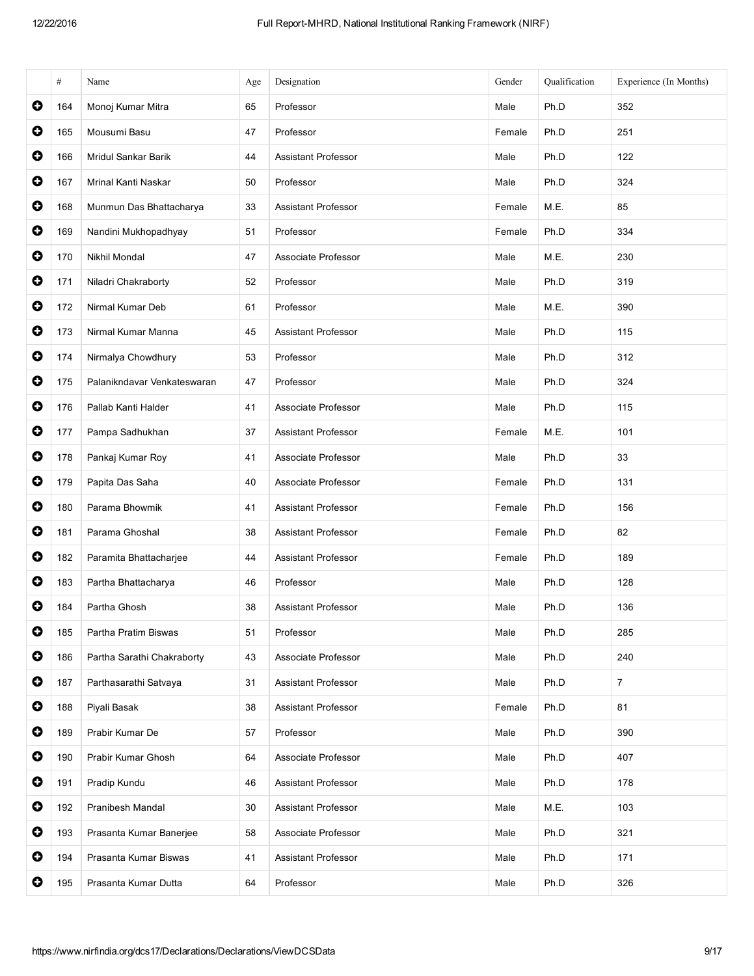|           | $\#$ | Name                        | Age | Designation                | Gender | Qualification | Experience (In Months) |
|-----------|------|-----------------------------|-----|----------------------------|--------|---------------|------------------------|
| $\bullet$ | 164  | Monoj Kumar Mitra           | 65  | Professor                  | Male   | Ph.D          | 352                    |
| $\bullet$ | 165  | Mousumi Basu                | 47  | Professor                  | Female | Ph.D          | 251                    |
| $\bullet$ | 166  | Mridul Sankar Barik         | 44  | Assistant Professor        | Male   | Ph.D          | 122                    |
| $\bullet$ | 167  | Mrinal Kanti Naskar         | 50  | Professor                  | Male   | Ph.D          | 324                    |
| $\bullet$ | 168  | Munmun Das Bhattacharya     | 33  | Assistant Professor        | Female | M.E.          | 85                     |
| $\bullet$ | 169  | Nandini Mukhopadhyay        | 51  | Professor                  | Female | Ph.D          | 334                    |
| $\bullet$ | 170  | Nikhil Mondal               | 47  | Associate Professor        | Male   | M.E.          | 230                    |
| $\bullet$ | 171  | Niladri Chakraborty         | 52  | Professor                  | Male   | Ph.D          | 319                    |
| $\bullet$ | 172  | Nirmal Kumar Deb            | 61  | Professor                  | Male   | M.E.          | 390                    |
| $\bullet$ | 173  | Nirmal Kumar Manna          | 45  | <b>Assistant Professor</b> | Male   | Ph.D          | 115                    |
| $\bullet$ | 174  | Nirmalya Chowdhury          | 53  | Professor                  | Male   | Ph.D          | 312                    |
| $\bullet$ | 175  | Palanikndavar Venkateswaran | 47  | Professor                  | Male   | Ph.D          | 324                    |
| $\bullet$ | 176  | Pallab Kanti Halder         | 41  | Associate Professor        | Male   | Ph.D          | 115                    |
| $\bullet$ | 177  | Pampa Sadhukhan             | 37  | <b>Assistant Professor</b> | Female | M.E.          | 101                    |
| $\bullet$ | 178  | Pankaj Kumar Roy            | 41  | Associate Professor        | Male   | Ph.D          | 33                     |
| $\bullet$ | 179  | Papita Das Saha             | 40  | Associate Professor        | Female | Ph.D          | 131                    |
| $\bullet$ | 180  | Parama Bhowmik              | 41  | <b>Assistant Professor</b> | Female | Ph.D          | 156                    |
| $\bullet$ | 181  | Parama Ghoshal              | 38  | <b>Assistant Professor</b> | Female | Ph.D          | 82                     |
| $\bullet$ | 182  | Paramita Bhattacharjee      | 44  | Assistant Professor        | Female | Ph.D          | 189                    |
| $\bullet$ | 183  | Partha Bhattacharya         | 46  | Professor                  | Male   | Ph.D          | 128                    |
| O         | 184  | Partha Ghosh                | 38  | Assistant Professor        | Male   | Ph.D          | 136                    |
| $\bullet$ | 185  | Partha Pratim Biswas        | 51  | Professor                  | Male   | Ph.D          | 285                    |
| $\bullet$ | 186  | Partha Sarathi Chakraborty  | 43  | Associate Professor        | Male   | Ph.D          | 240                    |
| $\bullet$ | 187  | Parthasarathi Satvaya       | 31  | Assistant Professor        | Male   | Ph.D          | $\overline{7}$         |
| $\bullet$ | 188  | Piyali Basak                | 38  | Assistant Professor        | Female | Ph.D          | 81                     |
| $\bullet$ | 189  | Prabir Kumar De             | 57  | Professor                  | Male   | Ph.D          | 390                    |
| $\bullet$ | 190  | Prabir Kumar Ghosh          | 64  | Associate Professor        | Male   | Ph.D          | 407                    |
| $\bullet$ | 191  | Pradip Kundu                | 46  | Assistant Professor        | Male   | Ph.D          | 178                    |
| $\bullet$ | 192  | Pranibesh Mandal            | 30  | Assistant Professor        | Male   | M.E.          | 103                    |
| $\bullet$ | 193  | Prasanta Kumar Banerjee     | 58  | Associate Professor        | Male   | Ph.D          | 321                    |
| $\bullet$ | 194  | Prasanta Kumar Biswas       | 41  | Assistant Professor        | Male   | Ph.D          | 171                    |
| $\bullet$ | 195  | Prasanta Kumar Dutta        | 64  | Professor                  | Male   | Ph.D          | 326                    |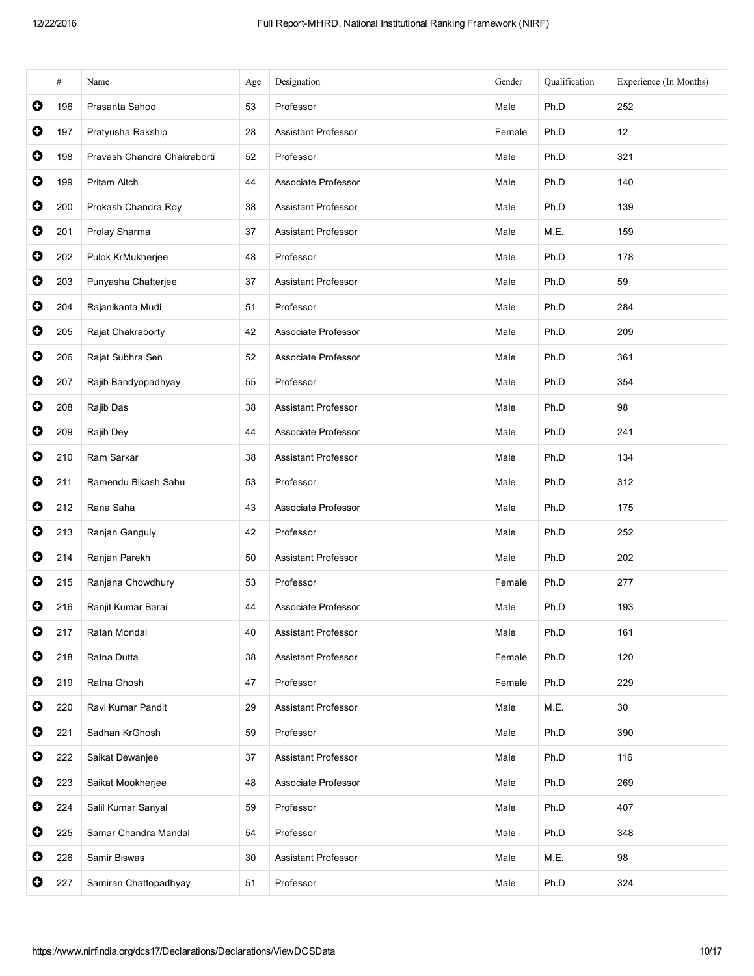|           | #   | Name                        | Age | Designation                | Gender | Qualification | Experience (In Months) |
|-----------|-----|-----------------------------|-----|----------------------------|--------|---------------|------------------------|
| $\bullet$ | 196 | Prasanta Sahoo              | 53  | Professor                  | Male   | Ph.D          | 252                    |
| $\bullet$ | 197 | Pratyusha Rakship           | 28  | Assistant Professor        | Female | Ph.D          | 12                     |
| $\bullet$ | 198 | Pravash Chandra Chakraborti | 52  | Professor                  | Male   | Ph.D          | 321                    |
| $\bullet$ | 199 | Pritam Aitch                | 44  | Associate Professor        | Male   | Ph.D          | 140                    |
| $\bullet$ | 200 | Prokash Chandra Roy         | 38  | <b>Assistant Professor</b> | Male   | Ph.D          | 139                    |
| $\bullet$ | 201 | Prolay Sharma               | 37  | <b>Assistant Professor</b> | Male   | M.E.          | 159                    |
| $\bullet$ | 202 | Pulok KrMukherjee           | 48  | Professor                  | Male   | Ph.D          | 178                    |
| $\bullet$ | 203 | Punyasha Chatterjee         | 37  | <b>Assistant Professor</b> | Male   | Ph.D          | 59                     |
| $\bullet$ | 204 | Rajanikanta Mudi            | 51  | Professor                  | Male   | Ph.D          | 284                    |
| $\bullet$ | 205 | Rajat Chakraborty           | 42  | Associate Professor        | Male   | Ph.D          | 209                    |
| $\bullet$ | 206 | Rajat Subhra Sen            | 52  | Associate Professor        | Male   | Ph.D          | 361                    |
| $\bullet$ | 207 | Rajib Bandyopadhyay         | 55  | Professor                  | Male   | Ph.D          | 354                    |
| $\bullet$ | 208 | Rajib Das                   | 38  | <b>Assistant Professor</b> | Male   | Ph.D          | 98                     |
| $\bullet$ | 209 | Rajib Dey                   | 44  | Associate Professor        | Male   | Ph.D          | 241                    |
| $\bullet$ | 210 | Ram Sarkar                  | 38  | Assistant Professor        | Male   | Ph.D          | 134                    |
| $\bullet$ | 211 | Ramendu Bikash Sahu         | 53  | Professor                  | Male   | Ph.D          | 312                    |
| $\bullet$ | 212 | Rana Saha                   | 43  | Associate Professor        | Male   | Ph.D          | 175                    |
| $\bullet$ | 213 | Ranjan Ganguly              | 42  | Professor                  | Male   | Ph.D          | 252                    |
| $\bullet$ | 214 | Ranjan Parekh               | 50  | <b>Assistant Professor</b> | Male   | Ph.D          | 202                    |
| $\bullet$ | 215 | Ranjana Chowdhury           | 53  | Professor                  | Female | Ph.D          | 277                    |
| $\bullet$ | 216 | Ranjit Kumar Barai          | 44  | Associate Professor        | Male   | Ph.D          | 193                    |
| $\bullet$ | 217 | Ratan Mondal                | 40  | <b>Assistant Professor</b> | Male   | Ph.D          | 161                    |
| $\bullet$ | 218 | Ratna Dutta                 | 38  | Assistant Professor        | Female | Ph.D          | 120                    |
| $\bullet$ | 219 | Ratna Ghosh                 | 47  | Professor                  | Female | Ph.D          | 229                    |
| $\bullet$ | 220 | Ravi Kumar Pandit           | 29  | <b>Assistant Professor</b> | Male   | M.E.          | 30                     |
| $\bullet$ | 221 | Sadhan KrGhosh              | 59  | Professor                  | Male   | Ph.D          | 390                    |
| $\bullet$ | 222 | Saikat Dewanjee             | 37  | Assistant Professor        | Male   | Ph.D          | 116                    |
| $\bullet$ | 223 | Saikat Mookherjee           | 48  | Associate Professor        | Male   | Ph.D          | 269                    |
| $\bullet$ | 224 | Salil Kumar Sanyal          | 59  | Professor                  | Male   | Ph.D          | 407                    |
| $\bullet$ | 225 | Samar Chandra Mandal        | 54  | Professor                  | Male   | Ph.D          | 348                    |
| $\bullet$ | 226 | Samir Biswas                | 30  | <b>Assistant Professor</b> | Male   | M.E.          | 98                     |
| $\bullet$ | 227 | Samiran Chattopadhyay       | 51  | Professor                  | Male   | Ph.D          | 324                    |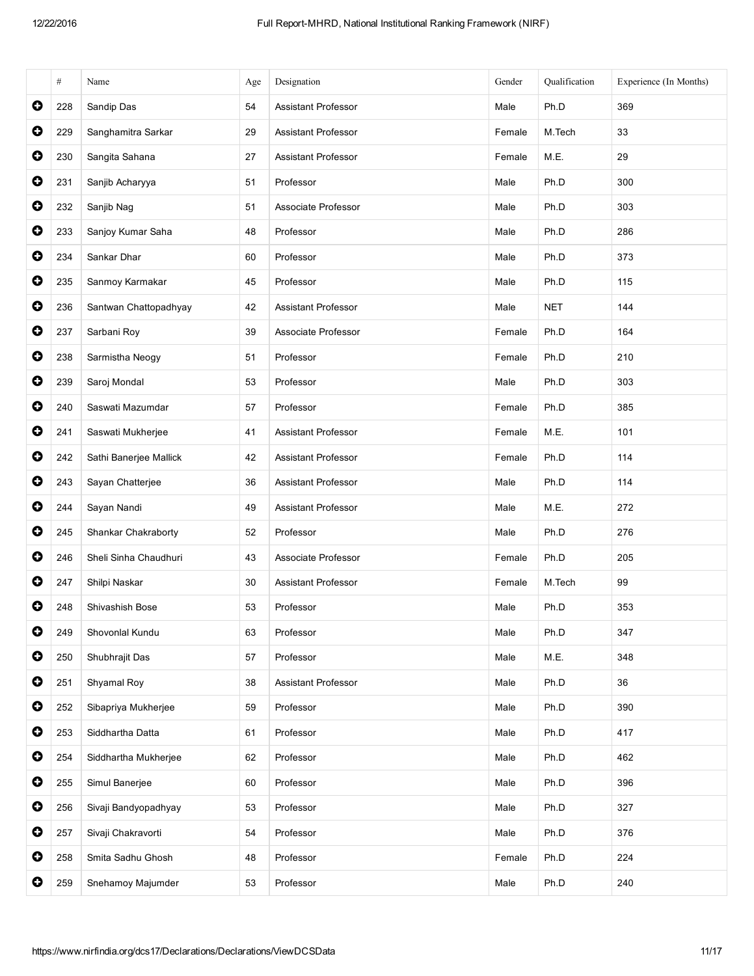|           | #   | Name                   | Age | Designation                | Gender | Qualification | Experience (In Months) |
|-----------|-----|------------------------|-----|----------------------------|--------|---------------|------------------------|
| 0         | 228 | Sandip Das             | 54  | <b>Assistant Professor</b> | Male   | Ph.D          | 369                    |
| 0         | 229 | Sanghamitra Sarkar     | 29  | Assistant Professor        | Female | M.Tech        | 33                     |
| $\bullet$ | 230 | Sangita Sahana         | 27  | <b>Assistant Professor</b> | Female | M.E.          | 29                     |
| $\bullet$ | 231 | Sanjib Acharyya        | 51  | Professor                  | Male   | Ph.D          | 300                    |
| $\bullet$ | 232 | Sanjib Nag             | 51  | Associate Professor        | Male   | Ph.D          | 303                    |
| 0         | 233 | Sanjoy Kumar Saha      | 48  | Professor                  | Male   | Ph.D          | 286                    |
| $\bullet$ | 234 | Sankar Dhar            | 60  | Professor                  | Male   | Ph.D          | 373                    |
| $\bullet$ | 235 | Sanmoy Karmakar        | 45  | Professor                  | Male   | Ph.D          | 115                    |
| $\bullet$ | 236 | Santwan Chattopadhyay  | 42  | <b>Assistant Professor</b> | Male   | <b>NET</b>    | 144                    |
| 0         | 237 | Sarbani Roy            | 39  | Associate Professor        | Female | Ph.D          | 164                    |
| 0         | 238 | Sarmistha Neogy        | 51  | Professor                  | Female | Ph.D          | 210                    |
| $\bullet$ | 239 | Saroj Mondal           | 53  | Professor                  | Male   | Ph.D          | 303                    |
| $\bullet$ | 240 | Saswati Mazumdar       | 57  | Professor                  | Female | Ph.D          | 385                    |
| 0         | 241 | Saswati Mukherjee      | 41  | Assistant Professor        | Female | M.E.          | 101                    |
| $\bullet$ | 242 | Sathi Banerjee Mallick | 42  | <b>Assistant Professor</b> | Female | Ph.D          | 114                    |
| $\bullet$ | 243 | Sayan Chatterjee       | 36  | <b>Assistant Professor</b> | Male   | Ph.D          | 114                    |
| $\bullet$ | 244 | Sayan Nandi            | 49  | Assistant Professor        | Male   | M.E.          | 272                    |
| $\bullet$ | 245 | Shankar Chakraborty    | 52  | Professor                  | Male   | Ph.D          | 276                    |
| 0         | 246 | Sheli Sinha Chaudhuri  | 43  | Associate Professor        | Female | Ph.D          | 205                    |
| $\bullet$ | 247 | Shilpi Naskar          | 30  | <b>Assistant Professor</b> | Female | M.Tech        | 99                     |
| O         | 248 | Shivashish Bose        | 53  | Professor                  | Male   | Ph.D          | 353                    |
| O         | 249 | Shovonlal Kundu        | 63  | Professor                  | Male   | Ph.D          | 347                    |
| 0         | 250 | Shubhrajit Das         | 57  | Professor                  | Male   | M.E.          | 348                    |
| $\bullet$ | 251 | Shyamal Roy            | 38  | <b>Assistant Professor</b> | Male   | Ph.D          | 36                     |
| $\bullet$ | 252 | Sibapriya Mukherjee    | 59  | Professor                  | Male   | Ph.D          | 390                    |
| $\bullet$ | 253 | Siddhartha Datta       | 61  | Professor                  | Male   | Ph.D          | 417                    |
| 0         | 254 | Siddhartha Mukherjee   | 62  | Professor                  | Male   | Ph.D          | 462                    |
| $\bullet$ | 255 | Simul Banerjee         | 60  | Professor                  | Male   | Ph.D          | 396                    |
| $\bullet$ | 256 | Sivaji Bandyopadhyay   | 53  | Professor                  | Male   | Ph.D          | 327                    |
| $\bullet$ | 257 | Sivaji Chakravorti     | 54  | Professor                  | Male   | Ph.D          | 376                    |
| 0         | 258 | Smita Sadhu Ghosh      | 48  | Professor                  | Female | Ph.D          | 224                    |
| 0         | 259 | Snehamoy Majumder      | 53  | Professor                  | Male   | Ph.D          | 240                    |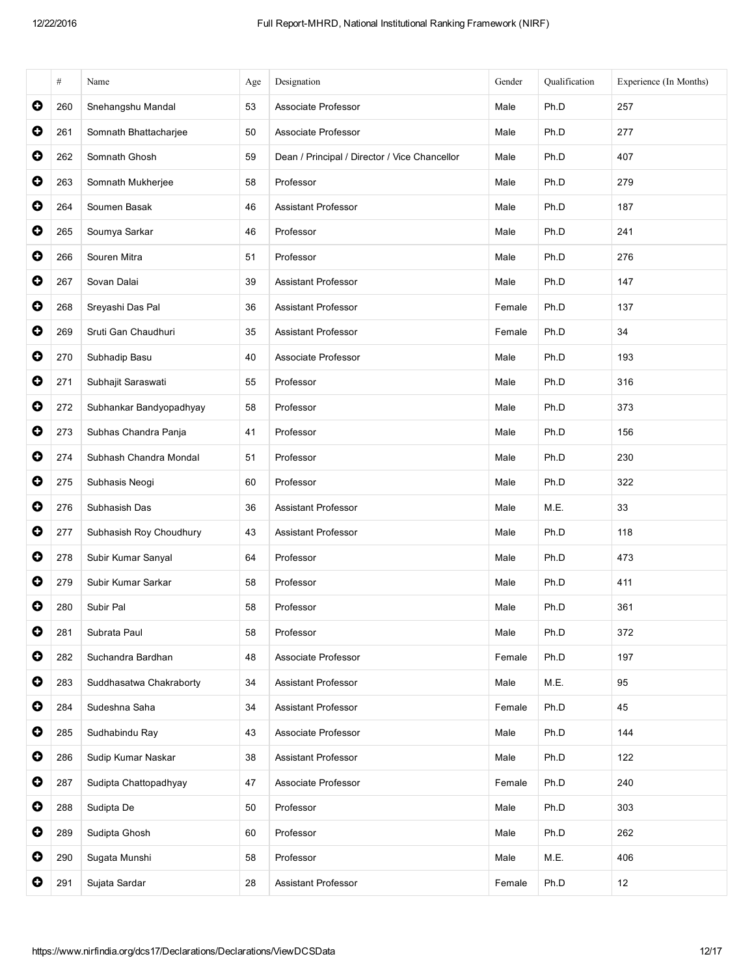|           | $\#$ | Name                    | Age | Designation                                   | Gender | Qualification | Experience (In Months) |
|-----------|------|-------------------------|-----|-----------------------------------------------|--------|---------------|------------------------|
| $\bullet$ | 260  | Snehangshu Mandal       | 53  | Associate Professor                           | Male   | Ph.D          | 257                    |
| $\bullet$ | 261  | Somnath Bhattacharjee   | 50  | Associate Professor                           | Male   | Ph.D          | 277                    |
| $\bullet$ | 262  | Somnath Ghosh           | 59  | Dean / Principal / Director / Vice Chancellor | Male   | Ph.D          | 407                    |
| $\bullet$ | 263  | Somnath Mukherjee       | 58  | Professor                                     | Male   | Ph.D          | 279                    |
| $\bullet$ | 264  | Soumen Basak            | 46  | Assistant Professor                           | Male   | Ph.D          | 187                    |
| $\bullet$ | 265  | Soumya Sarkar           | 46  | Professor                                     | Male   | Ph.D          | 241                    |
| $\bullet$ | 266  | Souren Mitra            | 51  | Professor                                     | Male   | Ph.D          | 276                    |
| $\bullet$ | 267  | Sovan Dalai             | 39  | <b>Assistant Professor</b>                    | Male   | Ph.D          | 147                    |
| $\bullet$ | 268  | Sreyashi Das Pal        | 36  | Assistant Professor                           | Female | Ph.D          | 137                    |
| $\bullet$ | 269  | Sruti Gan Chaudhuri     | 35  | Assistant Professor                           | Female | Ph.D          | 34                     |
| $\bullet$ | 270  | Subhadip Basu           | 40  | Associate Professor                           | Male   | Ph.D          | 193                    |
| $\bullet$ | 271  | Subhajit Saraswati      | 55  | Professor                                     | Male   | Ph.D          | 316                    |
| $\bullet$ | 272  | Subhankar Bandyopadhyay | 58  | Professor                                     | Male   | Ph.D          | 373                    |
| $\bullet$ | 273  | Subhas Chandra Panja    | 41  | Professor                                     | Male   | Ph.D          | 156                    |
| $\bullet$ | 274  | Subhash Chandra Mondal  | 51  | Professor                                     | Male   | Ph.D          | 230                    |
| $\bullet$ | 275  | Subhasis Neogi          | 60  | Professor                                     | Male   | Ph.D          | 322                    |
| $\bullet$ | 276  | Subhasish Das           | 36  | <b>Assistant Professor</b>                    | Male   | M.E.          | 33                     |
| $\bullet$ | 277  | Subhasish Roy Choudhury | 43  | <b>Assistant Professor</b>                    | Male   | Ph.D          | 118                    |
| $\bullet$ | 278  | Subir Kumar Sanyal      | 64  | Professor                                     | Male   | Ph.D          | 473                    |
| $\bullet$ | 279  | Subir Kumar Sarkar      | 58  | Professor                                     | Male   | Ph.D          | 411                    |
| O         | 280  | Subir Pal               | 58  | Professor                                     | Male   | Ph.D          | 361                    |
| $\bullet$ | 281  | Subrata Paul            | 58  | Professor                                     | Male   | Ph.D          | 372                    |
| $\bullet$ | 282  | Suchandra Bardhan       | 48  | Associate Professor                           | Female | Ph.D          | 197                    |
| $\bullet$ | 283  | Suddhasatwa Chakraborty | 34  | Assistant Professor                           | Male   | M.E.          | 95                     |
| $\bullet$ | 284  | Sudeshna Saha           | 34  | Assistant Professor                           | Female | Ph.D          | 45                     |
| $\bullet$ | 285  | Sudhabindu Ray          | 43  | Associate Professor                           | Male   | Ph.D          | 144                    |
| $\bullet$ | 286  | Sudip Kumar Naskar      | 38  | Assistant Professor                           | Male   | Ph.D          | 122                    |
| $\bullet$ | 287  | Sudipta Chattopadhyay   | 47  | Associate Professor                           | Female | Ph.D          | 240                    |
| $\bullet$ | 288  | Sudipta De              | 50  | Professor                                     | Male   | Ph.D          | 303                    |
| $\bullet$ | 289  | Sudipta Ghosh           | 60  | Professor                                     | Male   | Ph.D          | 262                    |
| $\bullet$ | 290  | Sugata Munshi           | 58  | Professor                                     | Male   | M.E.          | 406                    |
| $\bullet$ | 291  | Sujata Sardar           | 28  | Assistant Professor                           | Female | Ph.D          | 12                     |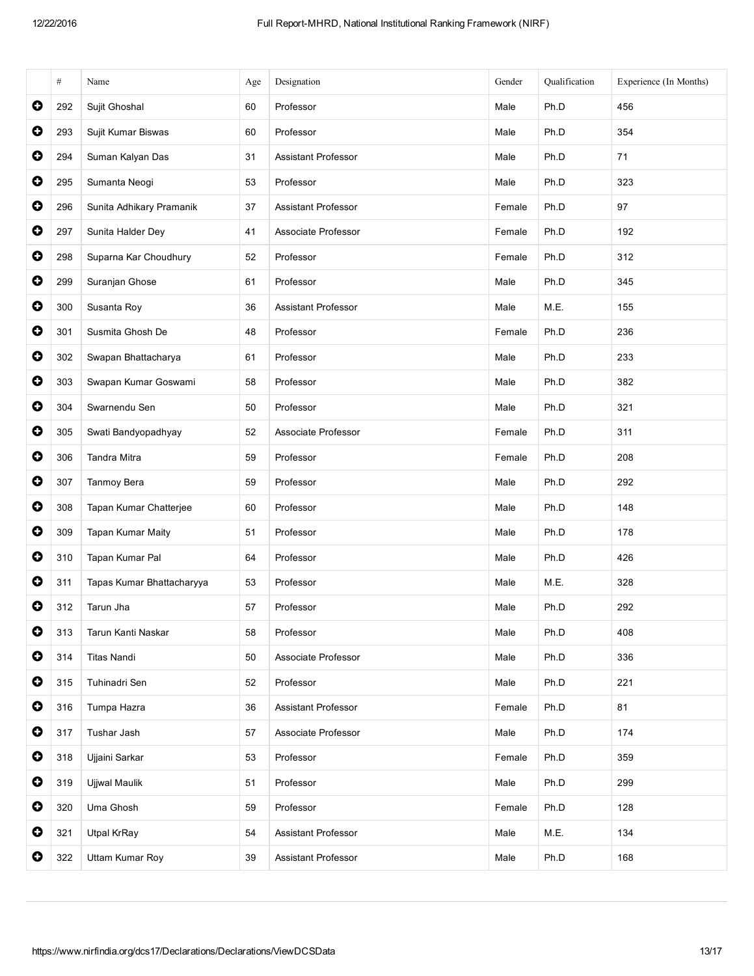|           | $\#$ | Name                      | Age | Designation         | Gender | Qualification | Experience (In Months) |
|-----------|------|---------------------------|-----|---------------------|--------|---------------|------------------------|
| $\bullet$ | 292  | Sujit Ghoshal             | 60  | Professor           | Male   | Ph.D          | 456                    |
| $\bullet$ | 293  | Sujit Kumar Biswas        | 60  | Professor           | Male   | Ph.D          | 354                    |
| $\bullet$ | 294  | Suman Kalyan Das          | 31  | Assistant Professor | Male   | Ph.D          | 71                     |
| $\bullet$ | 295  | Sumanta Neogi             | 53  | Professor           | Male   | Ph.D          | 323                    |
| $\bullet$ | 296  | Sunita Adhikary Pramanik  | 37  | Assistant Professor | Female | Ph.D          | 97                     |
| $\bullet$ | 297  | Sunita Halder Dey         | 41  | Associate Professor | Female | Ph.D          | 192                    |
| $\bullet$ | 298  | Suparna Kar Choudhury     | 52  | Professor           | Female | Ph.D          | 312                    |
| $\bullet$ | 299  | Suranjan Ghose            | 61  | Professor           | Male   | Ph.D          | 345                    |
| $\bullet$ | 300  | Susanta Roy               | 36  | Assistant Professor | Male   | M.E.          | 155                    |
| $\bullet$ | 301  | Susmita Ghosh De          | 48  | Professor           | Female | Ph.D          | 236                    |
| $\bullet$ | 302  | Swapan Bhattacharya       | 61  | Professor           | Male   | Ph.D          | 233                    |
| $\bullet$ | 303  | Swapan Kumar Goswami      | 58  | Professor           | Male   | Ph.D          | 382                    |
| $\bullet$ | 304  | Swarnendu Sen             | 50  | Professor           | Male   | Ph.D          | 321                    |
| $\bullet$ | 305  | Swati Bandyopadhyay       | 52  | Associate Professor | Female | Ph.D          | 311                    |
| $\bullet$ | 306  | <b>Tandra Mitra</b>       | 59  | Professor           | Female | Ph.D          | 208                    |
| $\bullet$ | 307  | Tanmoy Bera               | 59  | Professor           | Male   | Ph.D          | 292                    |
| $\bullet$ | 308  | Tapan Kumar Chatterjee    | 60  | Professor           | Male   | Ph.D          | 148                    |
| $\bullet$ | 309  | Tapan Kumar Maity         | 51  | Professor           | Male   | Ph.D          | 178                    |
| $\bullet$ | 310  | Tapan Kumar Pal           | 64  | Professor           | Male   | Ph.D          | 426                    |
| $\bullet$ | 311  | Tapas Kumar Bhattacharyya | 53  | Professor           | Male   | M.E.          | 328                    |
| $\bullet$ | 312  | Tarun Jha                 | 57  | Professor           | Male   | Ph.D          | 292                    |
| $\bullet$ | 313  | Tarun Kanti Naskar        | 58  | Professor           | Male   | Ph.D          | 408                    |
| 0         | 314  | <b>Titas Nandi</b>        | 50  | Associate Professor | Male   | Ph.D          | 336                    |
| $\bullet$ | 315  | Tuhinadri Sen             | 52  | Professor           | Male   | Ph.D          | 221                    |
| $\bullet$ | 316  | Tumpa Hazra               | 36  | Assistant Professor | Female | Ph.D          | 81                     |
| $\bullet$ | 317  | Tushar Jash               | 57  | Associate Professor | Male   | Ph.D          | 174                    |
| 0         | 318  | Ujjaini Sarkar            | 53  | Professor           | Female | Ph.D          | 359                    |
| $\bullet$ | 319  | <b>Ujjwal Maulik</b>      | 51  | Professor           | Male   | Ph.D          | 299                    |
| $\bullet$ | 320  | Uma Ghosh                 | 59  | Professor           | Female | Ph.D          | 128                    |
| $\bullet$ | 321  | <b>Utpal KrRay</b>        | 54  | Assistant Professor | Male   | M.E.          | 134                    |
| $\bullet$ | 322  | Uttam Kumar Roy           | 39  | Assistant Professor | Male   | Ph.D          | 168                    |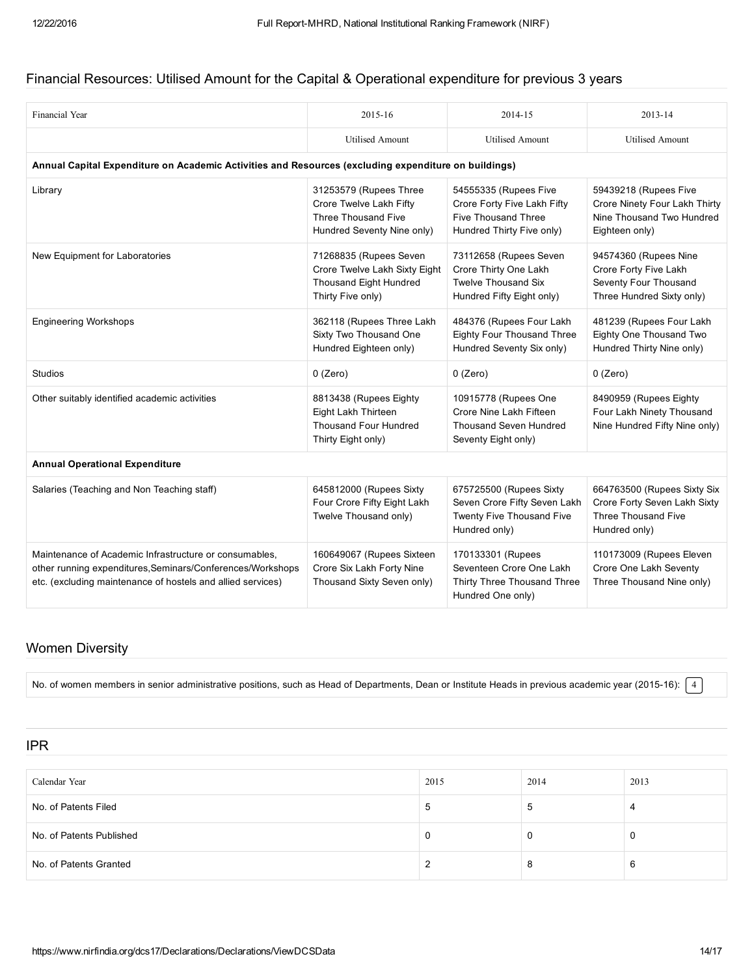#### Financial Resources: Utilised Amount for the Capital & Operational expenditure for previous 3 years

| <b>Financial Year</b>                                                                                                                                                               | 2015-16                                                                                                       | 2014-15                                                                                                    | 2013-14                                                                                               |  |  |  |  |  |
|-------------------------------------------------------------------------------------------------------------------------------------------------------------------------------------|---------------------------------------------------------------------------------------------------------------|------------------------------------------------------------------------------------------------------------|-------------------------------------------------------------------------------------------------------|--|--|--|--|--|
|                                                                                                                                                                                     | <b>Utilised Amount</b>                                                                                        | <b>Utilised Amount</b>                                                                                     | <b>Utilised Amount</b>                                                                                |  |  |  |  |  |
| Annual Capital Expenditure on Academic Activities and Resources (excluding expenditure on buildings)                                                                                |                                                                                                               |                                                                                                            |                                                                                                       |  |  |  |  |  |
| Library                                                                                                                                                                             | 31253579 (Rupees Three<br>Crore Twelve Lakh Fifty<br>Three Thousand Five<br>Hundred Seventy Nine only)        | 54555335 (Rupees Five<br>Crore Forty Five Lakh Fifty<br>Five Thousand Three<br>Hundred Thirty Five only)   | 59439218 (Rupees Five<br>Crore Ninety Four Lakh Thirty<br>Nine Thousand Two Hundred<br>Eighteen only) |  |  |  |  |  |
| New Equipment for Laboratories                                                                                                                                                      | 71268835 (Rupees Seven<br>Crore Twelve Lakh Sixty Eight<br><b>Thousand Eight Hundred</b><br>Thirty Five only) | 73112658 (Rupees Seven<br>Crore Thirty One Lakh<br><b>Twelve Thousand Six</b><br>Hundred Fifty Eight only) | 94574360 (Rupees Nine<br>Crore Forty Five Lakh<br>Seventy Four Thousand<br>Three Hundred Sixty only)  |  |  |  |  |  |
| <b>Engineering Workshops</b>                                                                                                                                                        | 362118 (Rupees Three Lakh<br>Sixty Two Thousand One<br>Hundred Eighteen only)                                 | 484376 (Rupees Four Lakh<br><b>Eighty Four Thousand Three</b><br>Hundred Seventy Six only)                 | 481239 (Rupees Four Lakh<br>Eighty One Thousand Two<br>Hundred Thirty Nine only)                      |  |  |  |  |  |
| Studios                                                                                                                                                                             | $0$ (Zero)                                                                                                    | $0$ (Zero)                                                                                                 | $0$ (Zero)                                                                                            |  |  |  |  |  |
| Other suitably identified academic activities                                                                                                                                       | 8813438 (Rupees Eighty<br>Eight Lakh Thirteen<br><b>Thousand Four Hundred</b><br>Thirty Eight only)           | 10915778 (Rupees One<br>Crore Nine Lakh Fifteen<br><b>Thousand Seven Hundred</b><br>Seventy Eight only)    | 8490959 (Rupees Eighty<br>Four Lakh Ninety Thousand<br>Nine Hundred Fifty Nine only)                  |  |  |  |  |  |
| <b>Annual Operational Expenditure</b>                                                                                                                                               |                                                                                                               |                                                                                                            |                                                                                                       |  |  |  |  |  |
| Salaries (Teaching and Non Teaching staff)                                                                                                                                          | 645812000 (Rupees Sixty<br>Four Crore Fifty Eight Lakh<br>Twelve Thousand only)                               | 675725500 (Rupees Sixty<br>Seven Crore Fifty Seven Lakh<br>Twenty Five Thousand Five<br>Hundred only)      | 664763500 (Rupees Sixty Six<br>Crore Forty Seven Lakh Sixty<br>Three Thousand Five<br>Hundred only)   |  |  |  |  |  |
| Maintenance of Academic Infrastructure or consumables,<br>other running expenditures, Seminars/Conferences/Workshops<br>etc. (excluding maintenance of hostels and allied services) | 160649067 (Rupees Sixteen<br>Crore Six Lakh Forty Nine<br>Thousand Sixty Seven only)                          | 170133301 (Rupees<br>Seventeen Crore One Lakh<br>Thirty Three Thousand Three<br>Hundred One only)          | 110173009 (Rupees Eleven<br>Crore One Lakh Seventy<br>Three Thousand Nine only)                       |  |  |  |  |  |

#### Women Diversity

No. of women members in senior administrative positions, such as Head of Departments, Dean or Institute Heads in previous academic year (2015-16):  $\boxed{4}$ 

#### IPR

| Calendar Year            | 2015 | 2014 | 2013 |
|--------------------------|------|------|------|
| No. of Patents Filed     |      |      |      |
| No. of Patents Published |      |      |      |
| No. of Patents Granted   |      |      |      |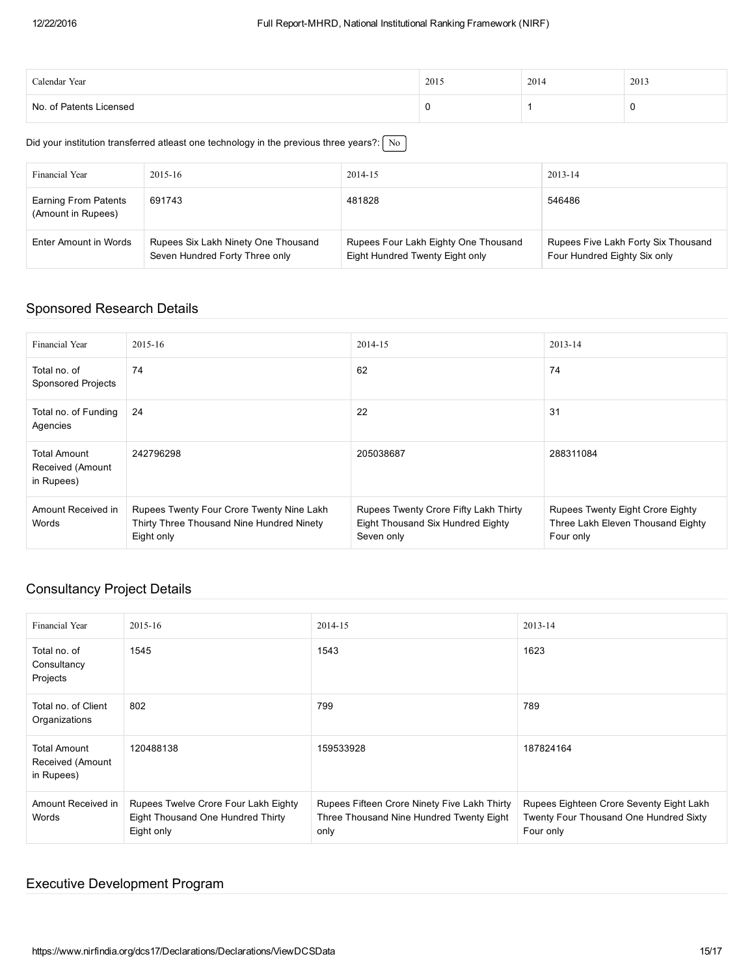| Calendar Year           | 2015 | 2014 | 2013 |
|-------------------------|------|------|------|
| No. of Patents Licensed | u    |      |      |

#### Did your institution transferred atleast one technology in the previous three years?:  $\boxed{\text{No}}$

| Financial Year                                    | 2015-16                                                               | 2014-15                                                                 | 2013-14                                                             |
|---------------------------------------------------|-----------------------------------------------------------------------|-------------------------------------------------------------------------|---------------------------------------------------------------------|
| <b>Earning From Patents</b><br>(Amount in Rupees) | 691743                                                                | 481828                                                                  | 546486                                                              |
| Enter Amount in Words                             | Rupees Six Lakh Ninety One Thousand<br>Seven Hundred Forty Three only | Rupees Four Lakh Eighty One Thousand<br>Eight Hundred Twenty Eight only | Rupees Five Lakh Forty Six Thousand<br>Four Hundred Eighty Six only |

#### Sponsored Research Details

| Financial Year                                 | $2015 - 16$                                                                                          | 2014-15                                                                                  | $2013 - 14$                                                                               |
|------------------------------------------------|------------------------------------------------------------------------------------------------------|------------------------------------------------------------------------------------------|-------------------------------------------------------------------------------------------|
| Total no. of<br><b>Sponsored Projects</b>      | 74                                                                                                   | 62                                                                                       | 74                                                                                        |
| Total no. of Funding<br>Agencies               | 24                                                                                                   | 22                                                                                       | 31                                                                                        |
| Total Amount<br>Received (Amount<br>in Rupees) | 242796298                                                                                            | 205038687                                                                                | 288311084                                                                                 |
| Amount Received in<br>Words                    | Rupees Twenty Four Crore Twenty Nine Lakh<br>Thirty Three Thousand Nine Hundred Ninety<br>Eight only | Rupees Twenty Crore Fifty Lakh Thirty<br>Eight Thousand Six Hundred Eighty<br>Seven only | <b>Rupees Twenty Eight Crore Eighty</b><br>Three Lakh Eleven Thousand Eighty<br>Four only |

## Consultancy Project Details

| <b>Financial Year</b>                                 | $2015 - 16$                                                                             | 2014-15                                                                                          | $2013 - 14$                                                                                     |
|-------------------------------------------------------|-----------------------------------------------------------------------------------------|--------------------------------------------------------------------------------------------------|-------------------------------------------------------------------------------------------------|
| Total no. of<br>Consultancy<br>Projects               | 1545                                                                                    | 1543                                                                                             | 1623                                                                                            |
| Total no. of Client<br>Organizations                  | 802                                                                                     | 799                                                                                              | 789                                                                                             |
| <b>Total Amount</b><br>Received (Amount<br>in Rupees) | 120488138                                                                               | 159533928                                                                                        | 187824164                                                                                       |
| Amount Received in<br>Words                           | Rupees Twelve Crore Four Lakh Eighty<br>Eight Thousand One Hundred Thirty<br>Eight only | Rupees Fifteen Crore Ninety Five Lakh Thirty<br>Three Thousand Nine Hundred Twenty Eight<br>only | Rupees Eighteen Crore Seventy Eight Lakh<br>Twenty Four Thousand One Hundred Sixty<br>Four only |

# Executive Development Program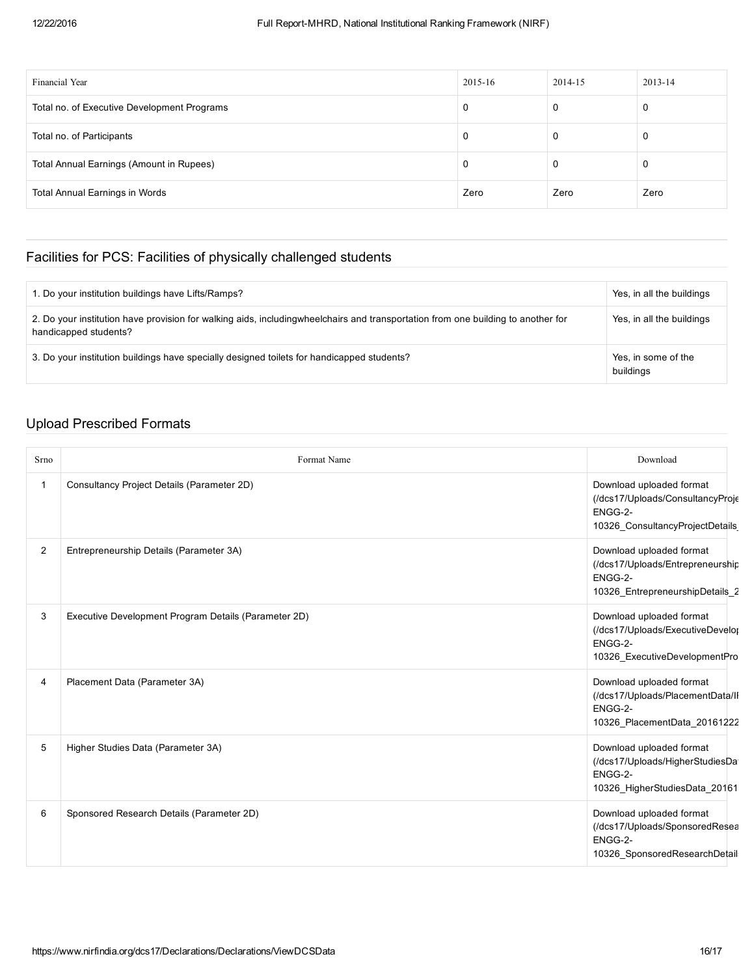| Financial Year                              | 2015-16 | 2014-15 | 2013-14 |
|---------------------------------------------|---------|---------|---------|
| Total no. of Executive Development Programs | -U      | u       | 0       |
| Total no. of Participants                   | - 0     |         | 0       |
| Total Annual Earnings (Amount in Rupees)    | -0      |         | 0       |
| Total Annual Earnings in Words              | Zero    | Zero    | Zero    |

## Facilities for PCS: Facilities of physically challenged students

| . Do your institution buildings have Lifts/Ramps?                                                                                                          | Yes, in all the buildings        |
|------------------------------------------------------------------------------------------------------------------------------------------------------------|----------------------------------|
| 2. Do your institution have provision for walking aids, including wheelchairs and transportation from one building to another for<br>handicapped students? | Yes, in all the buildings        |
| 3. Do your institution buildings have specially designed toilets for handicapped students?                                                                 | Yes, in some of the<br>buildings |

## Upload Prescribed Formats

| Srno           | Format Name                                          | Download                                                                                                    |
|----------------|------------------------------------------------------|-------------------------------------------------------------------------------------------------------------|
| $\mathbf{1}$   | Consultancy Project Details (Parameter 2D)           | Download uploaded format<br>(/dcs17/Uploads/ConsultancyProje<br>ENGG-2-<br>10326_ConsultancyProjectDetails  |
| $\overline{2}$ | Entrepreneurship Details (Parameter 3A)              | Download uploaded format<br>(/dcs17/Uploads/Entrepreneurship)<br>ENGG-2-<br>10326_EntrepreneurshipDetails_2 |
| 3              | Executive Development Program Details (Parameter 2D) | Download uploaded format<br>(/dcs17/Uploads/ExecutiveDevelo)<br>ENGG-2-<br>10326_ExecutiveDevelopmentPro    |
| 4              | Placement Data (Parameter 3A)                        | Download uploaded format<br>(/dcs17/Uploads/PlacementData/II<br>ENGG-2-<br>10326_PlacementData_20161222     |
| 5              | Higher Studies Data (Parameter 3A)                   | Download uploaded format<br>(/dcs17/Uploads/HigherStudiesDa<br>ENGG-2-<br>10326_HigherStudiesData_20161     |
| 6              | Sponsored Research Details (Parameter 2D)            | Download uploaded format<br>(/dcs17/Uploads/SponsoredResea<br>ENGG-2-<br>10326_SponsoredResearchDetail      |